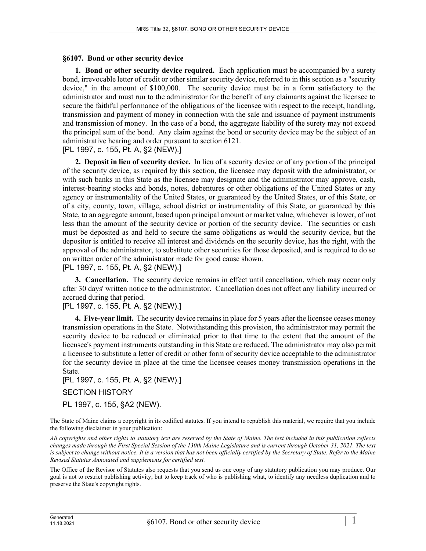## **§6107. Bond or other security device**

**1. Bond or other security device required.** Each application must be accompanied by a surety bond, irrevocable letter of credit or other similar security device, referred to in this section as a "security device," in the amount of \$100,000. The security device must be in a form satisfactory to the administrator and must run to the administrator for the benefit of any claimants against the licensee to secure the faithful performance of the obligations of the licensee with respect to the receipt, handling, transmission and payment of money in connection with the sale and issuance of payment instruments and transmission of money. In the case of a bond, the aggregate liability of the surety may not exceed the principal sum of the bond. Any claim against the bond or security device may be the subject of an administrative hearing and order pursuant to section 6121.

[PL 1997, c. 155, Pt. A, §2 (NEW).]

**2. Deposit in lieu of security device.** In lieu of a security device or of any portion of the principal of the security device, as required by this section, the licensee may deposit with the administrator, or with such banks in this State as the licensee may designate and the administrator may approve, cash, interest-bearing stocks and bonds, notes, debentures or other obligations of the United States or any agency or instrumentality of the United States, or guaranteed by the United States, or of this State, or of a city, county, town, village, school district or instrumentality of this State, or guaranteed by this State, to an aggregate amount, based upon principal amount or market value, whichever is lower, of not less than the amount of the security device or portion of the security device. The securities or cash must be deposited as and held to secure the same obligations as would the security device, but the depositor is entitled to receive all interest and dividends on the security device, has the right, with the approval of the administrator, to substitute other securities for those deposited, and is required to do so on written order of the administrator made for good cause shown.

[PL 1997, c. 155, Pt. A, §2 (NEW).]

**3. Cancellation.** The security device remains in effect until cancellation, which may occur only after 30 days' written notice to the administrator. Cancellation does not affect any liability incurred or accrued during that period.

## [PL 1997, c. 155, Pt. A, §2 (NEW).]

**4. Five-year limit.** The security device remains in place for 5 years after the licensee ceases money transmission operations in the State. Notwithstanding this provision, the administrator may permit the security device to be reduced or eliminated prior to that time to the extent that the amount of the licensee's payment instruments outstanding in this State are reduced. The administrator may also permit a licensee to substitute a letter of credit or other form of security device acceptable to the administrator for the security device in place at the time the licensee ceases money transmission operations in the State.

[PL 1997, c. 155, Pt. A, §2 (NEW).]

## SECTION HISTORY

PL 1997, c. 155, §A2 (NEW).

The State of Maine claims a copyright in its codified statutes. If you intend to republish this material, we require that you include the following disclaimer in your publication:

*All copyrights and other rights to statutory text are reserved by the State of Maine. The text included in this publication reflects changes made through the First Special Session of the 130th Maine Legislature and is current through October 31, 2021. The text*  is subject to change without notice. It is a version that has not been officially certified by the Secretary of State. Refer to the Maine *Revised Statutes Annotated and supplements for certified text.*

The Office of the Revisor of Statutes also requests that you send us one copy of any statutory publication you may produce. Our goal is not to restrict publishing activity, but to keep track of who is publishing what, to identify any needless duplication and to preserve the State's copyright rights.